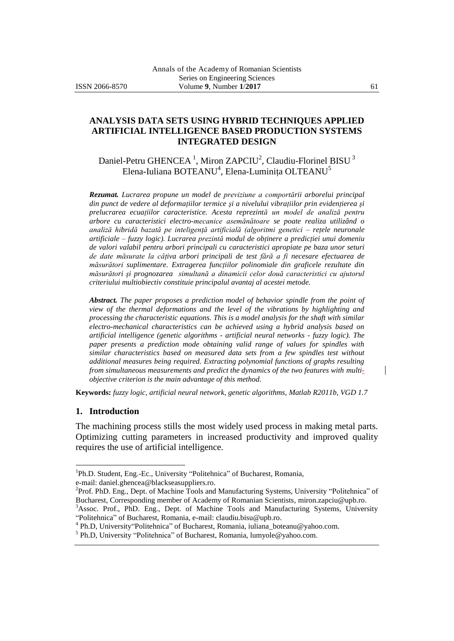## **ANALYSIS DATA SETS USING HYBRID TECHNIQUES APPLIED ARTIFICIAL INTELLIGENCE BASED PRODUCTION SYSTEMS INTEGRATED DESIGN**

Daniel-Petru GHENCEA<sup>1</sup>, Miron ZAPCIU<sup>2</sup>, Claudiu-Florinel BISU<sup>3</sup> Elena-Iuliana BOTEANU<sup>4</sup>, Elena-Luminița OLTEANU<sup>5</sup>

*Rezumat. Lucrarea propune un model de previziune a comportării arborelui principal din punct de vedere al deformaţiilor termice şi a nivelului vibraţiilor prin evidenţierea şi prelucrarea ecuaţiilor caracteristice. Acesta reprezintă un model de analiză pentru arbore cu caracteristici electro-mecanice asemănătoare se poate realiza utilizând o analiză hibridă bazată pe inteligenţă artificială (algoritmi genetici – reţele neuronale artificiale – fuzzy logic). Lucrarea prezintă modul de obţinere a predicţiei unui domeniu de valori valabil pentru arbori principali cu caracteristici apropiate pe baza unor seturi de date măsurate la câţiva arbori principali de test fără a fi necesare efectuarea de măsurători suplimentare. Extragerea funcţiilor polinomiale din graficele rezultate din măsurători şi prognozarea simultană a dinamicii celor două caracteristici cu ajutorul criteriului multiobiectiv constituie principalul avantaj al acestei metode.*

*Abstract. The paper proposes a prediction model of behavior spindle from the point of view of the thermal deformations and the level of the vibrations by highlighting and processing the characteristic equations. This is a model analysis for the shaft with similar electro-mechanical characteristics can be achieved using a hybrid analysis based on artificial intelligence (genetic algorithms - artificial neural networks - fuzzy logic). The paper presents a prediction mode obtaining valid range of values for spindles with similar characteristics based on measured data sets from a few spindles test without additional measures being required. Extracting polynomial functions of graphs resulting from simultaneous measurements and predict the dynamics of the two features with multiobjective criterion is the main advantage of this method.*

**Keywords:** *fuzzy logic, artificial neural network, genetic algorithms, Matlab R2011b, VGD 1.7*

#### **1. Introduction**

 $\overline{a}$ 

The machining process stills the most widely used process in making metal parts. Optimizing cutting parameters in increased productivity and improved quality requires the use of artificial intelligence.

<sup>&</sup>lt;sup>1</sup>Ph.D. Student, Eng.-Ec., University "Politehnica" of Bucharest, Romania, e-mail: daniel.ghencea@blackseasuppliers.ro.

<sup>&</sup>lt;sup>2</sup>Prof. PhD. Eng., Dept. of Machine Tools and Manufacturing Systems, University "Politehnica" of Bucharest, Corresponding member of Academy of Romanian Scientists, miron.zapciu@upb.ro. <sup>3</sup>Assoc. Prof., PhD. Eng., Dept. of Machine Tools and Manufacturing Systems, University

<sup>&</sup>quot;Politehnica" of Bucharest, Romania, e-mail: claudiu.bisu@upb.ro.

<sup>&</sup>lt;sup>4</sup> Ph.D, University "Politehnica" of Bucharest, Romania, iuliana\_boteanu@yahoo.com.

<sup>&</sup>lt;sup>5</sup> Ph.D, University "Politehnica" of Bucharest, Romania, lumyole@yahoo.com.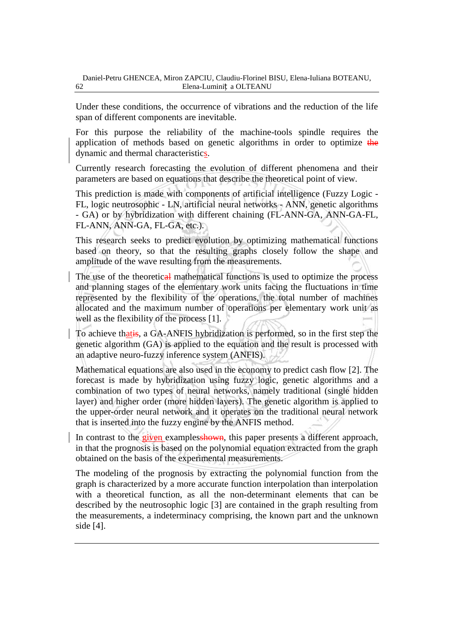Under these conditions, the occurrence of vibrations and the reduction of the life span of different components are inevitable.

For this purpose the reliability of the machine-tools spindle requires the application of methods based on genetic algorithms in order to optimize the dynamic and thermal characteristics.

Currently research forecasting the evolution of different phenomena and their parameters are based on equations that describe the theoretical point of view.

This prediction is made with components of artificial intelligence (Fuzzy Logic - FL, logic neutrosophic - LN, artificial neural networks - ANN, genetic algorithms - GA) or by hybridization with different chaining (FL-ANN-GA, ANN-GA-FL, FL-ANN, ANN-GA, FL-GA, etc.).

This research seeks to predict evolution by optimizing mathematical functions based on theory, so that the resulting graphs closely follow the shape and amplitude of the wave resulting from the measurements.

The use of the theoretical mathematical functions is used to optimize the process and planning stages of the elementary work units facing the fluctuations in time represented by the flexibility of the operations, the total number of machines allocated and the maximum number of operations per elementary work unit as well as the flexibility of the process [1].

To achieve thatis, a GA-ANFIS hybridization is performed, so in the first step the genetic algorithm (GA) is applied to the equation and the result is processed with an adaptive neuro-fuzzy inference system (ANFIS).

Mathematical equations are also used in the economy to predict cash flow [2]. The forecast is made by hybridization using fuzzy logic, genetic algorithms and a combination of two types of neural networks, namely traditional (single hidden layer) and higher order (more hidden layers). The genetic algorithm is applied to the upper-order neural network and it operates on the traditional neural network that is inserted into the fuzzy engine by the ANFIS method.

In contrast to the given examplesshown, this paper presents a different approach, in that the prognosis is based on the polynomial equation extracted from the graph obtained on the basis of the experimental measurements.

The modeling of the prognosis by extracting the polynomial function from the graph is characterized by a more accurate function interpolation than interpolation with a theoretical function, as all the non-determinant elements that can be described by the neutrosophic logic [3] are contained in the graph resulting from the measurements, a indeterminacy comprising, the known part and the unknown side [4].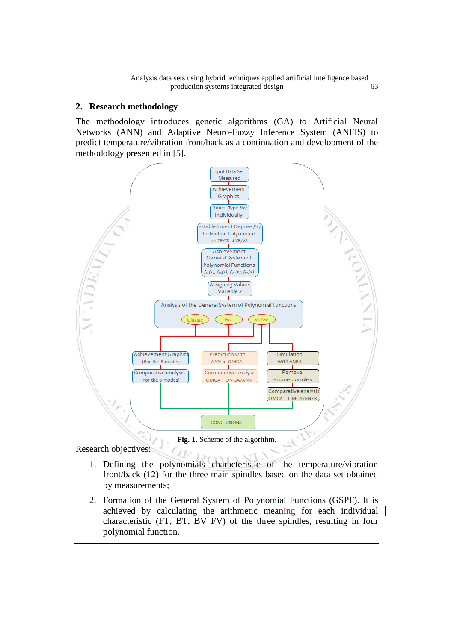#### **2. Research methodology**

The methodology introduces genetic algorithms (GA) to Artificial Neural Networks (ANN) and Adaptive Neuro-Fuzzy Inference System (ANFIS) to predict temperature/vibration front/back as a continuation and development of the methodology presented in [5].



Research objectives:

**Fig. 1.** Scheme of the algorithm.

 $O_{F}$ 

- 1. Defining the polynomials characteristic of the temperature/vibration front/back (12) for the three main spindles based on the data set obtained by measurements;
- 2. Formation of the General System of Polynomial Functions (GSPF). It is achieved by calculating the arithmetic meaning for each individual characteristic (FT, BT, BV FV) of the three spindles, resulting in four polynomial function.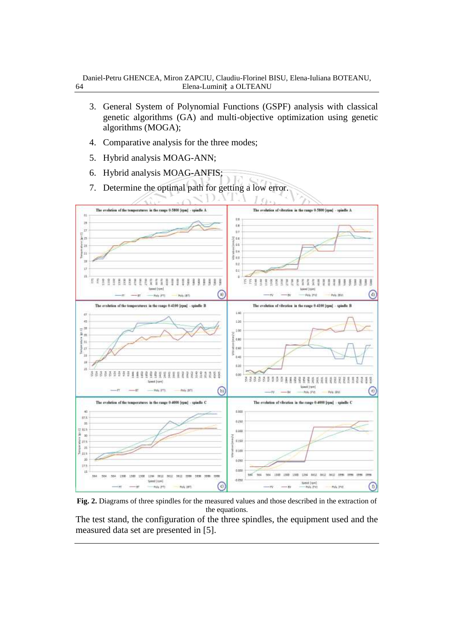- 3. General System of Polynomial Functions (GSPF) analysis with classical genetic algorithms (GA) and multi-objective optimization using genetic algorithms (MOGA);
- 4. Comparative analysis for the three modes;
- 5. Hybrid analysis MOAG-ANN;
- 6. Hybrid analysis MOAG-ANFIS;



**Fig. 2.** Diagrams of three spindles for the measured values and those described in the extraction of the equations.

The test stand, the configuration of the three spindles, the equipment used and the measured data set are presented in [5].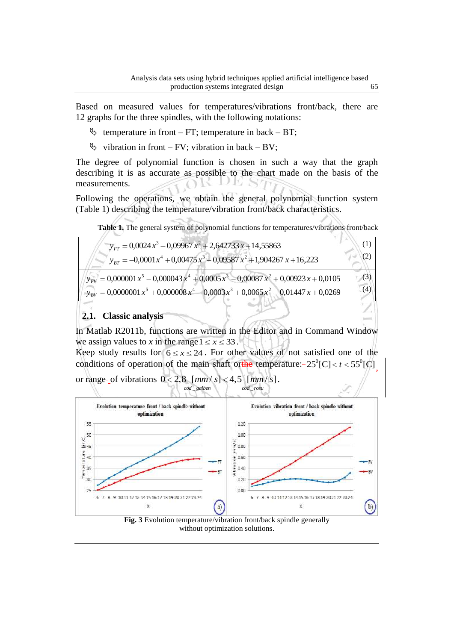Based on measured values for temperatures/vibrations front/back, there are 12 graphs for the three spindles, with the following notations:

- $\&$  temperature in front FT; temperature in back BT;
- $\&$  vibration in front FV; vibration in back BV;

The degree of polynomial function is chosen in such a way that the graph describing it is as accurate as possible to the chart made on the basis of the measurements.

Following the operations, we obtain the general polynomial function system (Table 1) describing the temperature/vibration front/back characteristics.

**Table 1.** The general system of polynomial functions for temperatures/vibrations front/back

| $y_{FT} = 0.0024 x^3 - 0.09967 x^2 + 2.642733 x + 14.55863$                                   |  |
|-----------------------------------------------------------------------------------------------|--|
| $y_{\text{RT}} = -0.0001x^4 + 0.00475x^3 - 0.09587x^2 + 1.904267x + 16.223$                   |  |
| $y_{\text{rv}} = 0.000001 x^5 - 0.000043 x^4 + 0.0005 x^3 - 0.00087 x^2 + 0.00923 x + 0.0105$ |  |
| $y_{\text{av}} = 0.0000001 x^5 + 0.000008 x^4 - 0.0003 x^3 + 0.0065 x^2 - 0.01447 x + 0.0269$ |  |
|                                                                                               |  |

# **2.1. Classic analysis**

In Matlab R2011b, functions are written in the Editor and in Command Window we assign values to *x* in the range  $1 \le x \le 33$ .

Keep study results for  $6 \le x \le 24$ . For other values of not satisfied one of the conditions of operation of the main shaft orthe temperature: $-25^{\circ}$ [C]  $< t < 55^{\circ}$ [C]

or range-of vibrations  $0 < 2.8$   $\left[ mm/s \right] < 4.5$   $\left[ mm/s \right]$ .



without optimization solutions.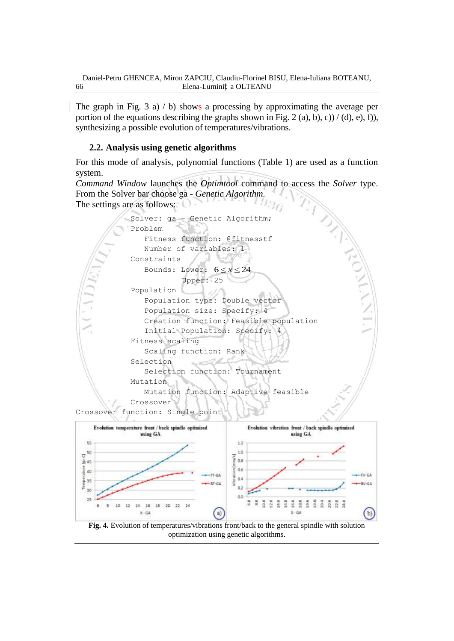The graph in Fig. 3 a) / b) shows a processing by approximating the average per portion of the equations describing the graphs shown in Fig. 2 (a), b), c)) / (d), e), f)), synthesizing a possible evolution of temperatures/vibrations.

### **2.2. Analysis using genetic algorithms**

For this mode of analysis, polynomial functions (Table 1) are used as a function system.

*Command Window* launches the *Optimtool* command to access the *Solver* type. From the Solver bar choose ga - *Genetic Algorithm.* The settings are as follows:



optimization using genetic algorithms.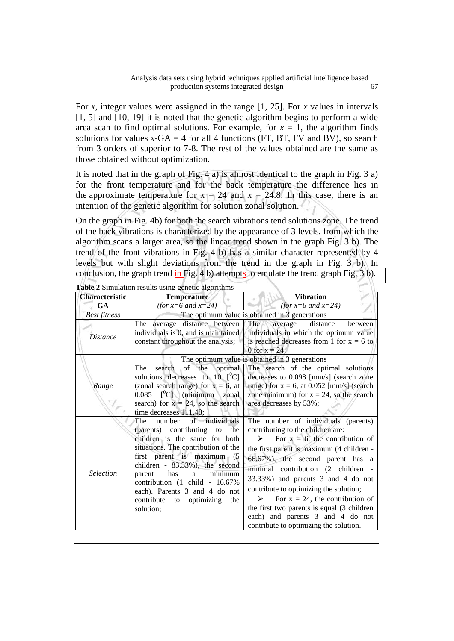For *x*, integer values were assigned in the range [1, 25]. For *x* values in intervals [1, 5] and [10, 19] it is noted that the genetic algorithm begins to perform a wide area scan to find optimal solutions. For example, for  $x = 1$ , the algorithm finds solutions for values  $x$ -GA = 4 for all 4 functions (FT, BT, FV and BV), so search from 3 orders of superior to 7-8. The rest of the values obtained are the same as those obtained without optimization.

It is noted that in the graph of Fig. 4 a) is almost identical to the graph in Fig. 3 a) for the front temperature and for the back temperature the difference lies in the approximate temperature for  $x = 24$  and  $x = 24.8$ . In this case, there is an intention of the genetic algorithm for solution zonal solution.

On the graph in Fig. 4b) for both the search vibrations tend solutions zone. The trend of the back vibrations is characterized by the appearance of 3 levels, from which the algorithm scans a larger area, so the linear trend shown in the graph Fig. 3 b). The trend of the front vibrations in Fig. 4 b) has a similar character represented by 4 levels but with slight deviations from the trend in the graph in Fig. 3 b). In conclusion, the graph trend  $\frac{\text{in}}{\text{tr}}$  Fig. 4 b) attempts to emulate the trend graph Fig. 3 b).

| <b>Characteristic</b>     | <b>Raore</b> a binimation results using generic argumninis<br><b>Temperature</b>                                                                                                                                                                                                                                                                                                                                                                                                                                                                                                                                      | <b>Vibration</b>                                                                                                                                                                                                                                                                                                                                                                                                                                                                                                                                                                                                                                                            |
|---------------------------|-----------------------------------------------------------------------------------------------------------------------------------------------------------------------------------------------------------------------------------------------------------------------------------------------------------------------------------------------------------------------------------------------------------------------------------------------------------------------------------------------------------------------------------------------------------------------------------------------------------------------|-----------------------------------------------------------------------------------------------------------------------------------------------------------------------------------------------------------------------------------------------------------------------------------------------------------------------------------------------------------------------------------------------------------------------------------------------------------------------------------------------------------------------------------------------------------------------------------------------------------------------------------------------------------------------------|
| <b>GA</b>                 | <i>(for x=6 and x=24)</i>                                                                                                                                                                                                                                                                                                                                                                                                                                                                                                                                                                                             | (for $x=6$ and $x=24$ )                                                                                                                                                                                                                                                                                                                                                                                                                                                                                                                                                                                                                                                     |
| <b>Best fitness</b>       |                                                                                                                                                                                                                                                                                                                                                                                                                                                                                                                                                                                                                       | The optimum value is obtained in 3 generations                                                                                                                                                                                                                                                                                                                                                                                                                                                                                                                                                                                                                              |
| <i>Distance</i>           | The average distance between<br>individuals is 0, and is maintained<br>constant throughout the analysis;                                                                                                                                                                                                                                                                                                                                                                                                                                                                                                              | The<br>distance<br>average<br>between<br>individuals in which the optimum value<br>is reached decreases from 1 for $x = 6$ to<br>0 for $x = 24$ ;                                                                                                                                                                                                                                                                                                                                                                                                                                                                                                                           |
| Range<br><b>Selection</b> | The<br>of the<br>optimal<br>search<br>solutions decreases to 10 $\binom{0}{C}$<br>(zonal search range) for $x = 6$ , at<br>$0.085$ [ <sup>o</sup> C] (minimum<br>zonal<br>search) for $x = 24$ , so the search<br>time decreases 111.48;<br>of individuals<br>number<br>The<br>(parents) contributing<br>the<br>to<br>children is the same for both<br>situations. The contribution of the<br>first parent is maximum (5)<br>children - 83.33%), the second<br>has<br>minimum<br>parent<br>a<br>contribution (1 child - 16.67%<br>each). Parents 3 and 4 do not<br>contribute<br>optimizing<br>the<br>to<br>solution; | The optimum value is obtained in 3 generations<br>The search of the optimal solutions<br>decreases to 0.098 [mm/s] (search zone<br>range) for $x = 6$ , at 0.052 [mm/s] (search<br>zone minimum) for $x = 24$ , so the search<br>area decreases by 53%;<br>The number of individuals (parents)<br>contributing to the children are:<br>For $x = 6$ , the contribution of<br>⋗<br>the first parent is maximum (4 children -<br>66.67%), the second parent has a<br>minimal contribution (2 children<br>33.33%) and parents 3 and 4 do not<br>contribute to optimizing the solution;<br>For $x = 24$ , the contribution of<br>➤<br>the first two parents is equal (3 children |
|                           |                                                                                                                                                                                                                                                                                                                                                                                                                                                                                                                                                                                                                       | each) and parents 3 and 4 do not<br>contribute to optimizing the solution.                                                                                                                                                                                                                                                                                                                                                                                                                                                                                                                                                                                                  |

**Table 2** Simulation results using genetic algorithms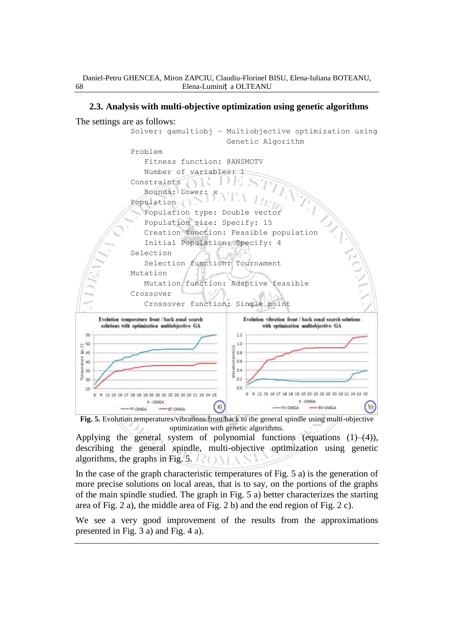

#### **2.3. Analysis with multi-objective optimization using genetic algorithms**

**Fig. 5.** Evolution temperatures/vibrations front/back to the general spindle using multi-objective optimization with genetic algorithms.

Applying the general system of polynomial functions (equations  $(1)$ – $(4)$ ), describing the general spindle, multi-objective optimization using genetic algorithms, the graphs in Fig. 5.

In the case of the graph characteristic temperatures of Fig. 5 a) is the generation of more precise solutions on local areas, that is to say, on the portions of the graphs of the main spindle studied. The graph in Fig. 5 a) better characterizes the starting area of Fig. 2 a), the middle area of Fig. 2 b) and the end region of Fig. 2 c).

We see a very good improvement of the results from the approximations presented in Fig. 3 a) and Fig. 4 a).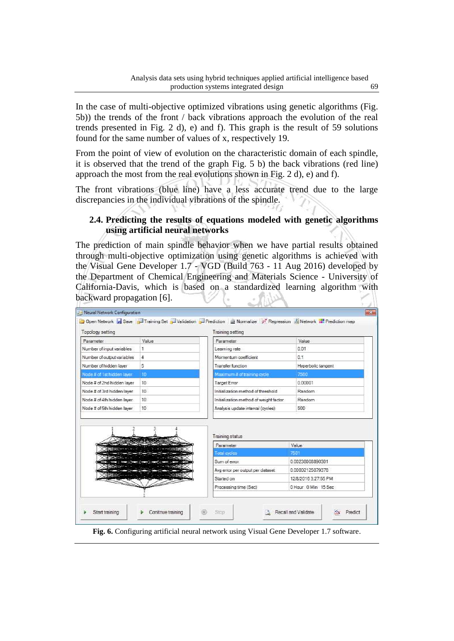In the case of multi-objective optimized vibrations using genetic algorithms (Fig. 5b)) the trends of the front / back vibrations approach the evolution of the real trends presented in Fig. 2 d), e) and f). This graph is the result of 59 solutions found for the same number of values of x, respectively 19.

From the point of view of evolution on the characteristic domain of each spindle, it is observed that the trend of the graph Fig. 5 b) the back vibrations (red line) approach the most from the real evolutions shown in Fig. 2 d), e) and f).

The front vibrations (blue line) have a less accurate trend due to the large discrepancies in the individual vibrations of the spindle.

## **2.4. Predicting the results of equations modeled with genetic algorithms using artificial neural networks**

The prediction of main spindle behavior when we have partial results obtained through multi-objective optimization using genetic algorithms is achieved with the Visual Gene Developer 1.7 - VGD (Build 763 - 11 Aug 2016) developed by the Department of Chemical Engineering and Materials Science - University of California-Davis, which is based on a standardized learning algorithm with backward propagation [6]. G.  $-1104$ 

| Topology setting<br>Parameter | Value           | Training setting<br>Parameter          | Value                    |  |
|-------------------------------|-----------------|----------------------------------------|--------------------------|--|
| Number of input variables     | Ŧ               | Learning rate                          | 0.01                     |  |
| Number of output variables    | 4               | Momentum coefficient                   | 0.1                      |  |
| Number of hidden laver        | 5               | Transfer function                      | Hyperbolic tangent       |  |
| Node # of 1st hidden layer    | $-10$           | Maximum # of training cycle            | 7500                     |  |
| Node # of 2nd hidden layer    | 10              | Target Error                           | 0.00001                  |  |
| Node # of 3rd hidden layer    | 10              | Initialization method of threshold     | Random                   |  |
|                               |                 |                                        |                          |  |
| Node # of 4th hidden layer    | 10 <sup>1</sup> | Initialization method of weight factor | Random                   |  |
| Node # of 5th hidden laver    | 10 <sup>°</sup> | Analysis update interval (cycles)      | 500                      |  |
|                               |                 | <b>Training status</b>                 |                          |  |
|                               |                 | Parameter                              | Value                    |  |
|                               |                 | Total cycles<br>Sum of error           | 7501<br>0.00238008890301 |  |
|                               |                 | Avg error per output per dataset       | 0.00002125079378         |  |
|                               |                 | Started on                             | 12/8/2016 3:27:55 PM     |  |

**Fig. 6.** Configuring artificial neural network using Visual Gene Developer 1.7 software.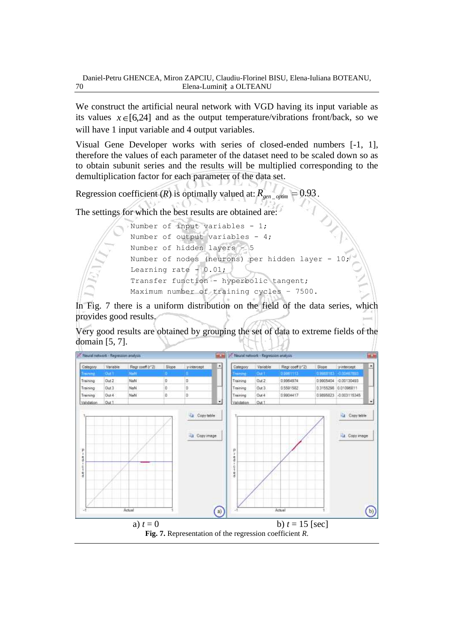We construct the artificial neural network with VGD having its input variable as its values  $x \in [6,24]$  and as the output temperature/vibrations front/back, so we will have 1 input variable and 4 output variables.

Visual Gene Developer works with series of closed-ended numbers [-1, 1], therefore the values of each parameter of the dataset need to be scaled down so as to obtain subunit series and the results will be multiplied corresponding to the demultiplication factor for each parameter of the data set.

Regression coefficient (*R*) is optimally valued at:  $R_{gen\_optim} = 0.93$  .

The settings for which the best results are obtained are:



In Fig. 7 there is a uniform distribution on the field of the data series, which provides good results.

Very good results are obtained by grouping the set of data to extreme fields of the domain [5, 7].

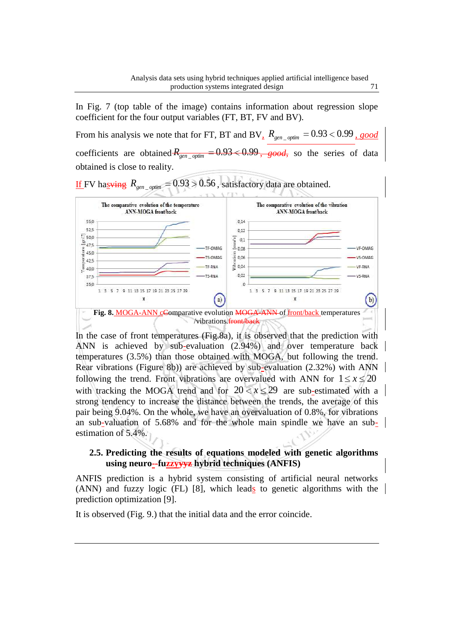In Fig. 7 (top table of the image) contains information about regression slope coefficient for the four output variables (FT, BT, FV and BV).

From his analysis we note that for FT, BT and BV,  $R_{\text{gen}}$   $_{\text{optim}} = 0.93 < 0.99$ , good coefficients are obtained  $R_{gen\_optim} = 0.93 \lt 0.99$ , good, so the series of data obtained is close to reality.

If FV has ving  $R_{\text{gen\_optim}} = 0.93 > 0.56$ , satisfactory data are obtained.



In the case of front temperatures (Fig.8a), it is observed that the prediction with ANN is achieved by sub-evaluation (2.94%) and over temperature back temperatures (3.5%) than those obtained with MOGA, but following the trend. Rear vibrations (Figure 8b)) are achieved by sub-evaluation (2.32%) with ANN following the trend. Front vibrations are overvalued with ANN for  $1 \le x \le 20$ with tracking the MOGA trend and for  $20 < x \le 29$  are sub-estimated with a strong tendency to increase the distance between the trends, the average of this pair being 9.04%. On the whole, we have an overvaluation of 0.8%, for vibrations an sub-valuation of 5.68% and for the whole main spindle we have an subestimation of 5.4%.

### **2.5. Predicting the results of equations modeled with genetic algorithms using neuro--fuzzyyyz hybrid techniques (ANFIS)**

ANFIS prediction is a hybrid system consisting of artificial neural networks (ANN) and fuzzy logic (FL) [8], which leads to genetic algorithms with the prediction optimization [9].

It is observed (Fig. 9.) that the initial data and the error coincide.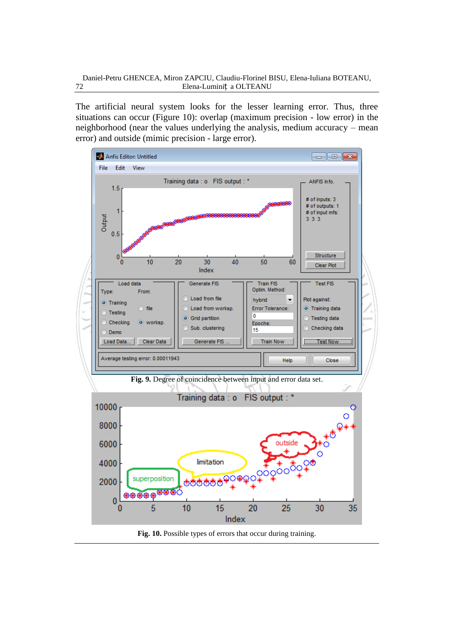Daniel-Petru GHENCEA, Miron ZAPCIU, Claudiu-Florinel BISU, Elena-Iuliana BOTEANU, 72 Elena-Luminiț a OLTEANU

The artificial neural system looks for the lesser learning error. Thus, three situations can occur (Figure 10): overlap (maximum precision - low error) in the neighborhood (near the values underlying the analysis, medium accuracy – mean error) and outside (mimic precision - large error).



**Fig. 10.** Possible types of errors that occur during training.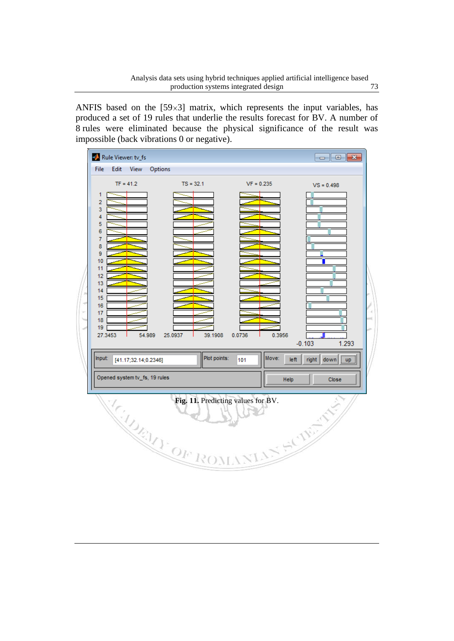ANFIS based on the  $[59\times3]$  matrix, which represents the input variables, has produced a set of 19 rules that underlie the results forecast for BV. A number of 8 rules were eliminated because the physical significance of the result was impossible (back vibrations 0 or negative).

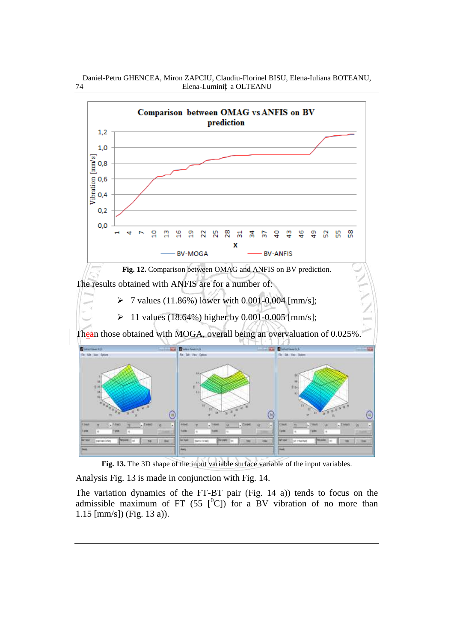

Daniel-Petru GHENCEA, Miron ZAPCIU, Claudiu-Florinel BISU, Elena-Iuliana BOTEANU, 74 Elena-Luminiț a OLTEANU

**Fig. 13.** The 3D shape of the input variable surface variable of the input variables.

Analysis Fig. 13 is made in conjunction with Fig. 14.

The variation dynamics of the FT-BT pair (Fig. 14 a)) tends to focus on the admissible maximum of FT (55  $\binom{0}{0}$ ) for a BV vibration of no more than 1.15 [mm/s]) (Fig. 13 a)).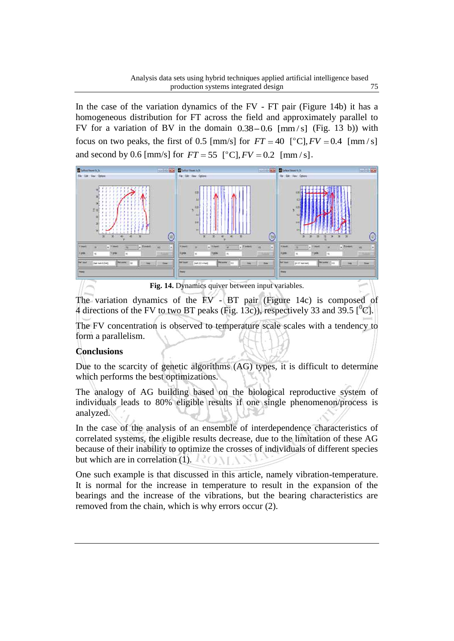In the case of the variation dynamics of the FV - FT pair (Figure 14b) it has a homogeneous distribution for FT across the field and approximately parallel to FV for a variation of BV in the domain  $0.38-0.6$  [mm/s] (Fig. 13 b)) with FV for a variation of BV in the domain  $0.38-0.6$  [mm/s] (Fig. 13 b)) with<br>focus on two peaks, the first of 0.5 [mm/s] for  $FT = 40$  [<sup>o</sup>C],  $FV = 0.4$  [mm/s] focus on two peaks, the first of 0.5 [finites] for  $FI = 40$  [C],  $FV = 0.2$  [mm/s].



**Fig. 14.** Dynamics quiver between input variables.

The variation dynamics of the FV - BT pair (Figure 14c) is composed of 4 directions of the FV to two BT peaks (Fig. 13c)), respectively 33 and 39.5  $\lceil {^0}C \rceil$ .

The FV concentration is observed to temperature scale scales with a tendency to form a parallelism.

# **Conclusions**

Due to the scarcity of genetic algorithms (AG) types, it is difficult to determine which performs the best optimizations.

The analogy of AG building based on the biological reproductive system of individuals leads to 80% eligible results if one single phenomenon/process is analyzed.

In the case of the analysis of an ensemble of interdependence characteristics of correlated systems, the eligible results decrease, due to the limitation of these AG because of their inability to optimize the crosses of individuals of different species but which are in correlation (1).

One such example is that discussed in this article, namely vibration-temperature. It is normal for the increase in temperature to result in the expansion of the bearings and the increase of the vibrations, but the bearing characteristics are removed from the chain, which is why errors occur (2).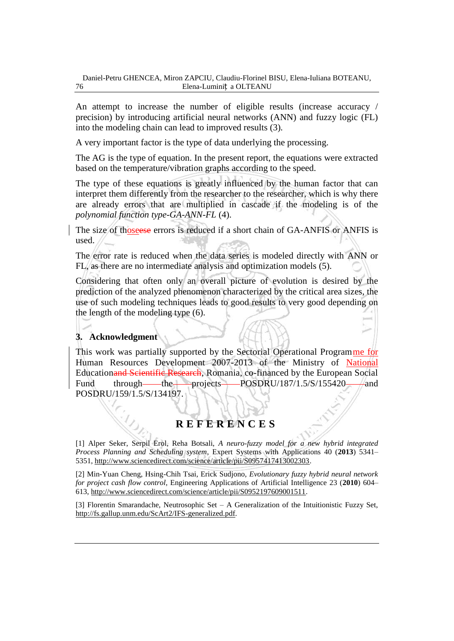An attempt to increase the number of eligible results (increase accuracy / precision) by introducing artificial neural networks (ANN) and fuzzy logic (FL) into the modeling chain can lead to improved results (3).

A very important factor is the type of data underlying the processing.

The AG is the type of equation. In the present report, the equations were extracted based on the temperature/vibration graphs according to the speed.

The type of these equations is greatly influenced by the human factor that can interpret them differently from the researcher to the researcher, which is why there are already errors that are multiplied in cascade if the modeling is of the *polynomial function type-GA-ANN-FL* (4).

The size of thoseese errors is reduced if a short chain of GA-ANFIS or ANFIS is used.

The error rate is reduced when the data series is modeled directly with ANN or FL, as there are no intermediate analysis and optimization models (5).

Considering that often only an overall picture of evolution is desired by the prediction of the analyzed phenomenon characterized by the critical area sizes, the use of such modeling techniques leads to good results to very good depending on the length of the modeling type (6).

## **3. Acknowledgment**

This work was partially supported by the Sectorial Operational Programme for Human Resources Development 2007-2013 of the Ministry of National Educationand Scientific Research, Romania, co-financed by the European Social Fund through the projects POSDRU/187/1.5/S/155420 and POSDRU/159/1.5/S/134197.

# **R E F E R E N C E S**

[1] Alper Seker, Serpil Erol, Reha Botsali, *A neuro-fuzzy model for a new hybrid integrated Process Planning and Scheduling system*, Expert Systems with Applications 40 (**2013**) 5341– 5351, [http://www.sciencedirect.com/science/article/pii/S0957417413002303.](http://www.sciencedirect.com/science/article/pii/S0957417413002303)

[2] Min-Yuan Cheng, Hsing-Chih Tsai, Erick Sudjono, *Evolutionary fuzzy hybrid neural network for project cash flow control*, Engineering Applications of Artificial Intelligence 23 (**2010**) 604– 613, [http://www.sciencedirect.com/science/article/pii/S0952197609001511.](http://www.sciencedirect.com/science/article/pii/S0952197609001511)

[3] Florentin Smarandache, Neutrosophic Set – A Generalization of the Intuitionistic Fuzzy Set, [http://fs.gallup.unm.edu/ScArt2/IFS-generalized.pdf.](http://fs.gallup.unm.edu/ScArt2/IFS-generalized.pdf)